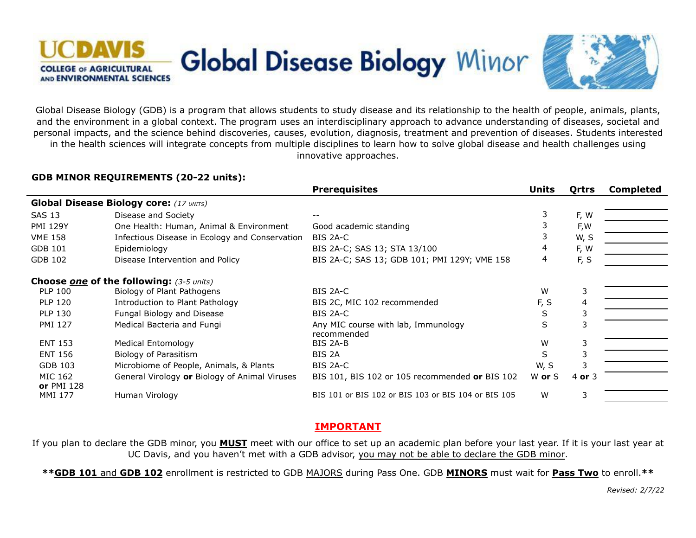



Global Disease Biology (GDB) is a program that allows students to study disease and its relationship to the health of people, animals, plants, and the environment in a global context. The program uses an interdisciplinary approach to advance understanding of diseases, societal and personal impacts, and the science behind discoveries, causes, evolution, diagnosis, treatment and prevention of diseases. Students interested in the health sciences will integrate concepts from multiple disciplines to learn how to solve global disease and health challenges using innovative approaches.

#### **GDB MINOR REQUIREMENTS (20-22 units):**

|                                                        |                                                | <b>Prerequisites</b>                                | Units  | Qrtrs    | <b>Completed</b> |
|--------------------------------------------------------|------------------------------------------------|-----------------------------------------------------|--------|----------|------------------|
| <b>Global Disease Biology core:</b> (17 UNITS)         |                                                |                                                     |        |          |                  |
| <b>SAS 13</b>                                          | Disease and Society                            |                                                     | 3      | F, W     |                  |
| <b>PMI 129Y</b>                                        | One Health: Human, Animal & Environment        | Good academic standing                              |        | F,W      |                  |
| <b>VME 158</b>                                         | Infectious Disease in Ecology and Conservation | BIS 2A-C                                            |        | W, S     |                  |
| GDB 101                                                | Epidemiology                                   | BIS 2A-C; SAS 13; STA 13/100                        | 4      | F, W     |                  |
| GDB 102                                                | Disease Intervention and Policy                | BIS 2A-C; SAS 13; GDB 101; PMI 129Y; VME 158        | 4      | F, S     |                  |
| <b>Choose <u>one</u></b> of the following: (3-5 units) |                                                |                                                     |        |          |                  |
| <b>PLP 100</b>                                         | Biology of Plant Pathogens                     | BIS 2A-C                                            | W      | 3        |                  |
| <b>PLP 120</b>                                         | Introduction to Plant Pathology                | BIS 2C, MIC 102 recommended                         | F, S   | 4        |                  |
| <b>PLP 130</b>                                         | Fungal Biology and Disease                     | BIS 2A-C                                            | S      |          |                  |
| <b>PMI 127</b>                                         | Medical Bacteria and Fungi                     | Any MIC course with lab, Immunology<br>recommended  | S      |          |                  |
| <b>ENT 153</b>                                         | <b>Medical Entomology</b>                      | BIS 2A-B                                            | W      | 3        |                  |
| <b>ENT 156</b>                                         | Biology of Parasitism                          | BIS 2A                                              | S      |          |                  |
| GDB 103                                                | Microbiome of People, Animals, & Plants        | BIS 2A-C                                            | W, S   |          |                  |
| MIC 162<br><b>or</b> PMI 128                           | General Virology or Biology of Animal Viruses  | BIS 101, BIS 102 or 105 recommended or BIS 102      | W or S | 4 or $3$ |                  |
| <b>MMI 177</b>                                         | Human Virology                                 | BIS 101 or BIS 102 or BIS 103 or BIS 104 or BIS 105 | W      | 3        |                  |

# **IMPORTANT**

If you plan to declare the GDB minor, you **MUST** meet with our office to set up an academic plan before your last year. If it is your last year at UC Davis, and you haven't met with a GDB advisor, you may not be able to declare the GDB minor.

**\*\*GDB 101** and **GDB 102** enrollment is restricted to GDB MAJORS during Pass One. GDB **MINORS** must wait for **Pass Two** to enroll.**\*\***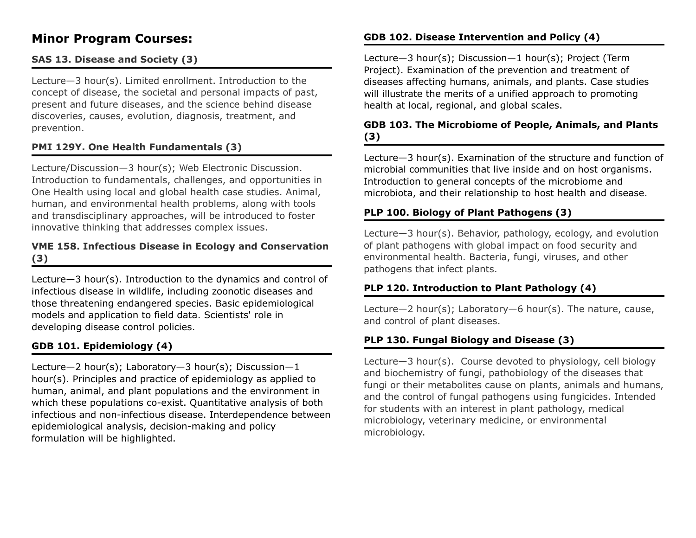# **Minor Program Courses:**

# **SAS 13. Disease and Society (3)**

Lecture—3 hour(s). Limited enrollment. Introduction to the concept of disease, the societal and personal impacts of past, present and future diseases, and the science behind disease discoveries, causes, evolution, diagnosis, treatment, and prevention.

# **PMI 129Y. One Health Fundamentals (3)**

Lecture/Discussion—3 hour(s); Web Electronic Discussion. Introduction to fundamentals, challenges, and opportunities in One Health using local and global health case studies. Animal, human, and environmental health problems, along with tools and transdisciplinary approaches, will be introduced to foster innovative thinking that addresses complex issues.

#### **VME 158. Infectious Disease in Ecology and Conservation (3)**

Lecture—3 hour(s). Introduction to the dynamics and control of infectious disease in wildlife, including zoonotic diseases and those threatening endangered species. Basic epidemiological models and application to field data. Scientists' role in developing disease control policies.

# **GDB 101. Epidemiology (4)**

Lecture—2 hour(s); Laboratory—3 hour(s); Discussion—1 hour(s). Principles and practice of epidemiology as applied to human, animal, and plant populations and the environment in which these populations co-exist. Quantitative analysis of both infectious and non-infectious disease. Interdependence between epidemiological analysis, decision-making and policy formulation will be highlighted.

# **GDB 102. Disease Intervention and Policy (4)**

Lecture—3 hour(s); Discussion—1 hour(s); Project (Term Project). Examination of the prevention and treatment of diseases affecting humans, animals, and plants. Case studies will illustrate the merits of a unified approach to promoting health at local, regional, and global scales.

# **GDB 103. The Microbiome of People, Animals, and Plants (3)**

Lecture—3 hour(s). Examination of the structure and function of microbial communities that live inside and on host organisms. Introduction to general concepts of the microbiome and microbiota, and their relationship to host health and disease.

# **PLP 100. Biology of Plant Pathogens (3)**

Lecture—3 hour(s). Behavior, pathology, ecology, and evolution of plant pathogens with global impact on food security and environmental health. Bacteria, fungi, viruses, and other pathogens that infect plants.

# **PLP 120. Introduction to Plant Pathology (4)**

Lecture—2 hour(s); Laboratory—6 hour(s). The nature, cause, and control of plant diseases.

# **PLP 130. Fungal Biology and Disease (3)**

Lecture—3 hour(s). Course devoted to physiology, cell biology and biochemistry of fungi, pathobiology of the diseases that fungi or their metabolites cause on plants, animals and humans, and the control of fungal pathogens using fungicides. Intended for students with an interest in plant pathology, medical microbiology, veterinary medicine, or environmental microbiology.